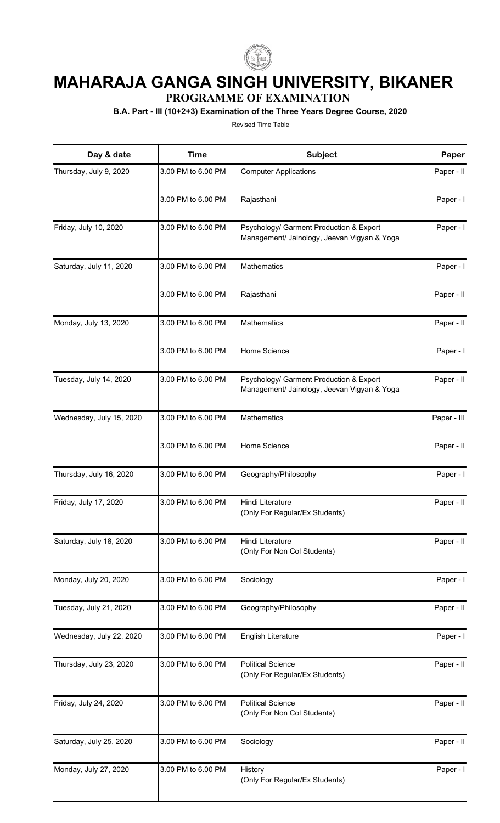

## **MAHARAJA GANGA SINGH UNIVERSITY, BIKANER**

**PROGRAMME OF EXAMINATION**

**B.A. Part - III (10+2+3) Examination of the Three Years Degree Course, 2020**

Revised Time Table

| Day & date               | <b>Time</b>        | Subject                                                                                | Paper       |
|--------------------------|--------------------|----------------------------------------------------------------------------------------|-------------|
| Thursday, July 9, 2020   | 3.00 PM to 6.00 PM | <b>Computer Applications</b>                                                           | Paper - II  |
|                          | 3.00 PM to 6.00 PM | Rajasthani                                                                             | Paper - I   |
| Friday, July 10, 2020    | 3.00 PM to 6.00 PM | Psychology/ Garment Production & Export<br>Management/ Jainology, Jeevan Vigyan & Yoga | Paper - I   |
| Saturday, July 11, 2020  | 3.00 PM to 6.00 PM | Mathematics                                                                            | Paper - I   |
|                          | 3.00 PM to 6.00 PM | Rajasthani                                                                             | Paper - II  |
| Monday, July 13, 2020    | 3.00 PM to 6.00 PM | Mathematics                                                                            | Paper - II  |
|                          | 3.00 PM to 6.00 PM | Home Science                                                                           | Paper - I   |
| Tuesday, July 14, 2020   | 3.00 PM to 6.00 PM | Psychology/ Garment Production & Export<br>Management/ Jainology, Jeevan Vigyan & Yoga | Paper - II  |
| Wednesday, July 15, 2020 | 3.00 PM to 6.00 PM | Mathematics                                                                            | Paper - III |
|                          | 3.00 PM to 6.00 PM | Home Science                                                                           | Paper - II  |
| Thursday, July 16, 2020  | 3.00 PM to 6.00 PM | Geography/Philosophy                                                                   | Paper - I   |
| Friday, July 17, 2020    | 3.00 PM to 6.00 PM | Hindi Literature<br>(Only For Regular/Ex Students)                                     | Paper - II  |
| Saturday, July 18, 2020  | 3.00 PM to 6.00 PM | Hindi Literature<br>(Only For Non Col Students)                                        | Paper - II  |
| Monday, July 20, 2020    | 3.00 PM to 6.00 PM | Sociology                                                                              | Paper - I   |
| Tuesday, July 21, 2020   | 3.00 PM to 6.00 PM | Geography/Philosophy                                                                   | Paper - II  |
| Wednesday, July 22, 2020 | 3.00 PM to 6.00 PM | English Literature                                                                     | Paper - I   |
| Thursday, July 23, 2020  | 3.00 PM to 6.00 PM | <b>Political Science</b><br>(Only For Regular/Ex Students)                             | Paper - II  |
| Friday, July 24, 2020    | 3.00 PM to 6.00 PM | <b>Political Science</b><br>(Only For Non Col Students)                                | Paper - II  |
| Saturday, July 25, 2020  | 3.00 PM to 6.00 PM | Sociology                                                                              | Paper - II  |
| Monday, July 27, 2020    | 3.00 PM to 6.00 PM | History<br>(Only For Regular/Ex Students)                                              | Paper - I   |